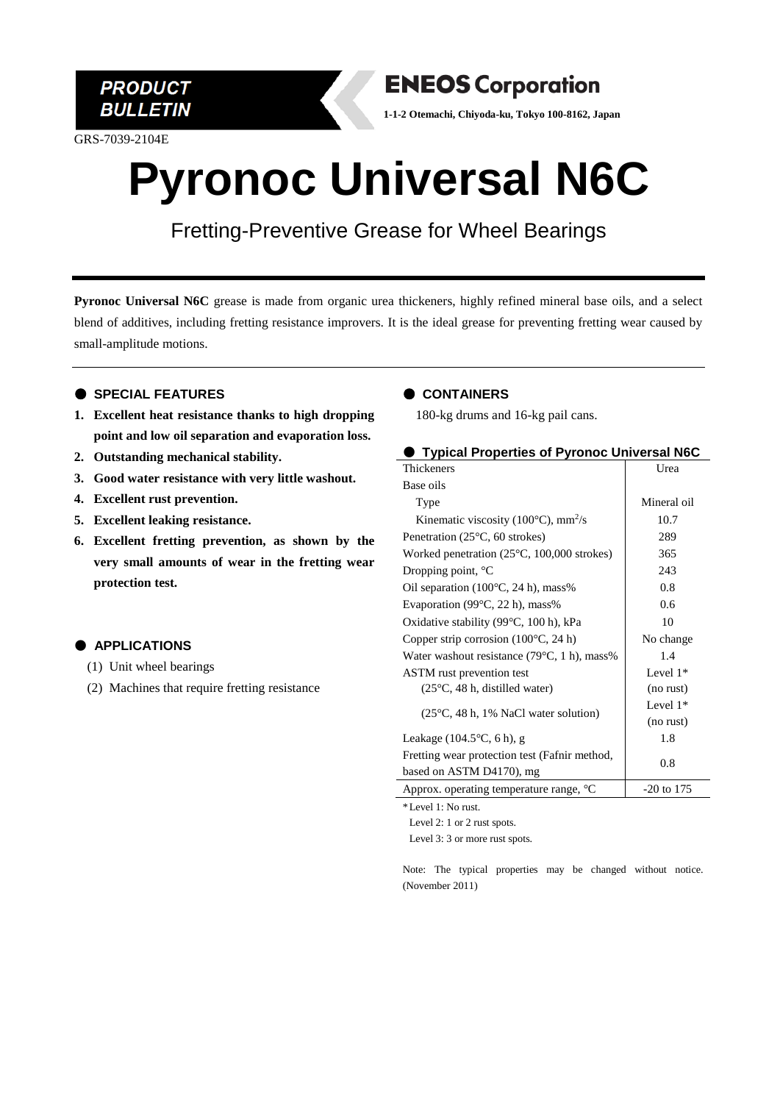

GRS-7039-2104E

### **ENEOS Corporation**

**1-1-2 Otemachi, Chiyoda-ku, Tokyo 100-8162, Japan**

## **Pyronoc Universal N6C**

Fretting-Preventive Grease for Wheel Bearings

**Pyronoc Universal N6C** grease is made from organic urea thickeners, highly refined mineral base oils, and a select blend of additives, including fretting resistance improvers. It is the ideal grease for preventing fretting wear caused by small-amplitude motions.

#### ● **SPECIAL FEATURES**

- **1. Excellent heat resistance thanks to high dropping point and low oil separation and evaporation loss.**
- **2. Outstanding mechanical stability.**
- **3. Good water resistance with very little washout.**
- **4. Excellent rust prevention.**
- **5. Excellent leaking resistance.**
- **6. Excellent fretting prevention, as shown by the very small amounts of wear in the fretting wear protection test.**

#### ● **APPLICATIONS**

- (1) Unit wheel bearings
- (2) Machines that require fretting resistance

#### ● **CONTAINERS**

180-kg drums and 16-kg pail cans.

| Typical Properties of Pyronoc Universal N6C                                      |             |                                         |
|----------------------------------------------------------------------------------|-------------|-----------------------------------------|
| Thickeners                                                                       | Urea        |                                         |
| Base oils                                                                        |             |                                         |
| Type                                                                             | Mineral oil |                                         |
| Kinematic viscosity (100 $^{\circ}$ C), mm <sup>2</sup> /s                       | 10.7        |                                         |
| Penetration $(25^{\circ}C, 60$ strokes)                                          | 289         |                                         |
| Worked penetration $(25^{\circ}C, 100,000$ strokes)                              | 365         |                                         |
| Dropping point, $^{\circ}C$                                                      | 243         |                                         |
| Oil separation $(100^{\circ}C, 24 h)$ , mass%                                    | 0.8         |                                         |
| Evaporation (99 $\degree$ C, 22 h), mass%                                        | 0.6         |                                         |
| Oxidative stability (99°C, 100 h), kPa                                           | 10          |                                         |
| Copper strip corrosion $(100^{\circ}C, 24 h)$                                    | No change   |                                         |
| Water washout resistance (79°C, 1 h), mass%                                      | 1.4         |                                         |
| ASTM rust prevention test                                                        | Level $1*$  |                                         |
| $(25^{\circ}C, 48 h,$ distilled water)                                           | (no rust)   |                                         |
| $(25^{\circ}C, 48 h, 1\%$ NaCl water solution)                                   | Level $1*$  |                                         |
|                                                                                  | (no rust)   |                                         |
| Leakage $(104.5\degree C, 6 h)$ , g                                              | 1.8         |                                         |
| Fretting wear protection test (Fafnir method,<br>0.8<br>based on ASTM D4170), mg |             |                                         |
|                                                                                  |             | Approx. operating temperature range, °C |

\*Level 1: No rust.

Level 2: 1 or 2 rust spots.

Level 3: 3 or more rust spots.

Note: The typical properties may be changed without notice. (November 2011)